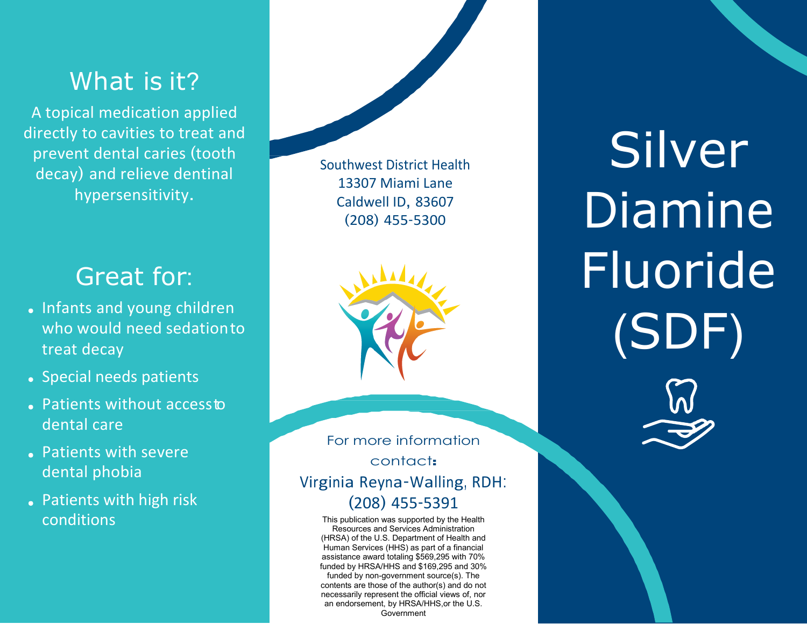## What is it?

A topical medication applied directly to cavities to treat and prevent dental caries (tooth decay) and relieve dentinal hypersensitivity.

## Great for:

- Infants and young children who would need sedationto treat decay
- Special needs patients
- Patients without accessto dental care
- Patients with severe dental phobia
- Patients with high risk conditions

Southwest District Health 13307 Miami Lane Caldwell ID, 83607 (208) 455-5300



For more information contact: Virginia Reyna-Walling, RDH: (208) 455-5391

This publication was supported by the Health Resources and Services Administration (HRSA) of the U.S. Department of Health and Human Services (HHS) as part of a financial assistance award totaling \$569,295 with 70% funded by HRSA/HHS and \$169,295 and 30% funded by non-government source(s). The contents are those of the author(s) and do not necessarily represent the official views of, nor an endorsement, by HRSA/HHS,or the U.S. Government

Silver Diamine Fluoride (SDF)